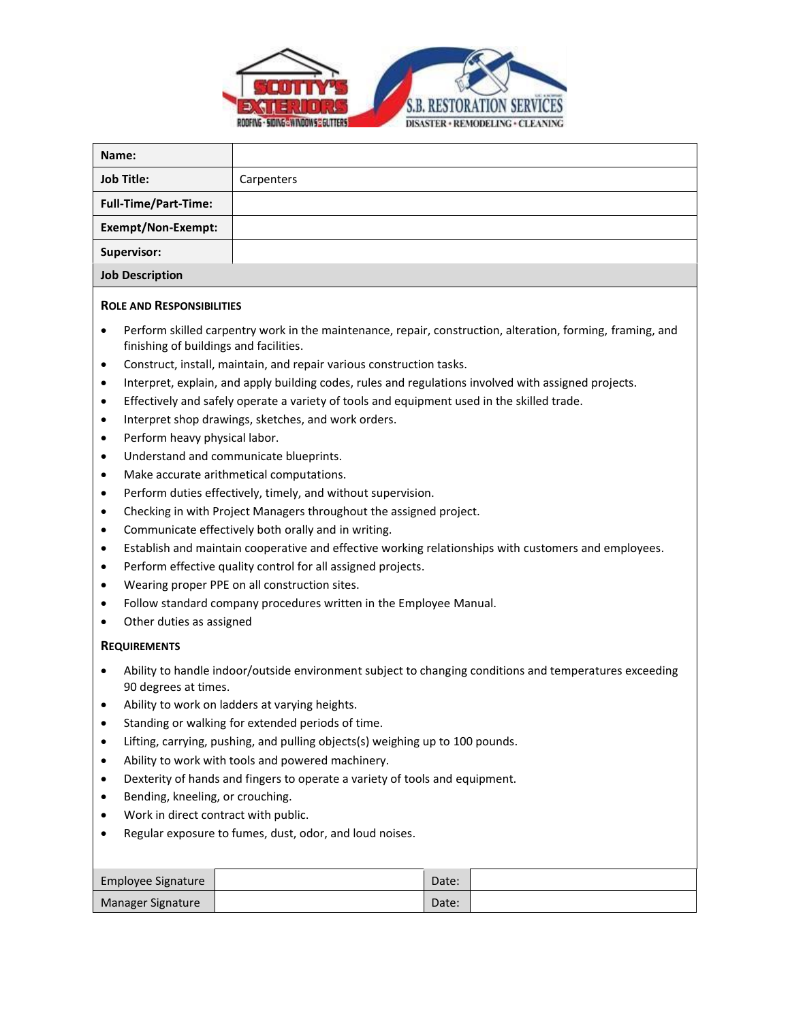

| Name:                       |            |
|-----------------------------|------------|
| <b>Job Title:</b>           | Carpenters |
| <b>Full-Time/Part-Time:</b> |            |
| Exempt/Non-Exempt:          |            |
| Supervisor:                 |            |
| <b>Job Description</b>      |            |

## **ROLE AND RESPONSIBILITIES**

- Perform skilled carpentry work in the maintenance, repair, construction, alteration, forming, framing, and finishing of buildings and facilities.
- Construct, install, maintain, and repair various construction tasks.
- Interpret, explain, and apply building codes, rules and regulations involved with assigned projects.
- Effectively and safely operate a variety of tools and equipment used in the skilled trade.
- Interpret shop drawings, sketches, and work orders.
- Perform heavy physical labor.
- Understand and communicate blueprints.
- Make accurate arithmetical computations.
- Perform duties effectively, timely, and without supervision.
- Checking in with Project Managers throughout the assigned project.
- Communicate effectively both orally and in writing.
- Establish and maintain cooperative and effective working relationships with customers and employees.
- Perform effective quality control for all assigned projects.
- Wearing proper PPE on all construction sites.
- Follow standard company procedures written in the Employee Manual.
- Other duties as assigned

## **REQUIREMENTS**

- Ability to handle indoor/outside environment subject to changing conditions and temperatures exceeding 90 degrees at times.
- Ability to work on ladders at varying heights.
- Standing or walking for extended periods of time.
- Lifting, carrying, pushing, and pulling objects(s) weighing up to 100 pounds.
- Ability to work with tools and powered machinery.
- Dexterity of hands and fingers to operate a variety of tools and equipment.
- Bending, kneeling, or crouching.
- Work in direct contract with public.
- Regular exposure to fumes, dust, odor, and loud noises.

| Employee Signature | Date: |  |
|--------------------|-------|--|
| Manager Signature  | Date: |  |